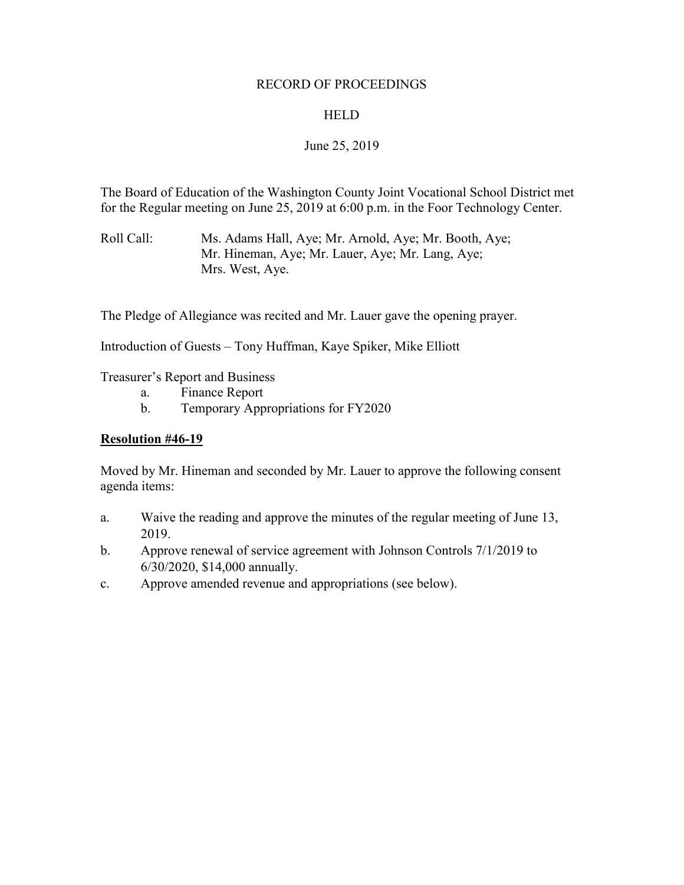## RECORD OF PROCEEDINGS

## HELD

# June 25, 2019

The Board of Education of the Washington County Joint Vocational School District met for the Regular meeting on June 25, 2019 at 6:00 p.m. in the Foor Technology Center.

Roll Call: Ms. Adams Hall, Aye; Mr. Arnold, Aye; Mr. Booth, Aye; Mr. Hineman, Aye; Mr. Lauer, Aye; Mr. Lang, Aye; Mrs. West, Aye.

The Pledge of Allegiance was recited and Mr. Lauer gave the opening prayer.

Introduction of Guests – Tony Huffman, Kaye Spiker, Mike Elliott

Treasurer's Report and Business

- a. Finance Report
- b. Temporary Appropriations for FY2020

## **Resolution #46-19**

Moved by Mr. Hineman and seconded by Mr. Lauer to approve the following consent agenda items:

- a. Waive the reading and approve the minutes of the regular meeting of June 13, 2019.
- b. Approve renewal of service agreement with Johnson Controls 7/1/2019 to 6/30/2020, \$14,000 annually.
- c. Approve amended revenue and appropriations (see below).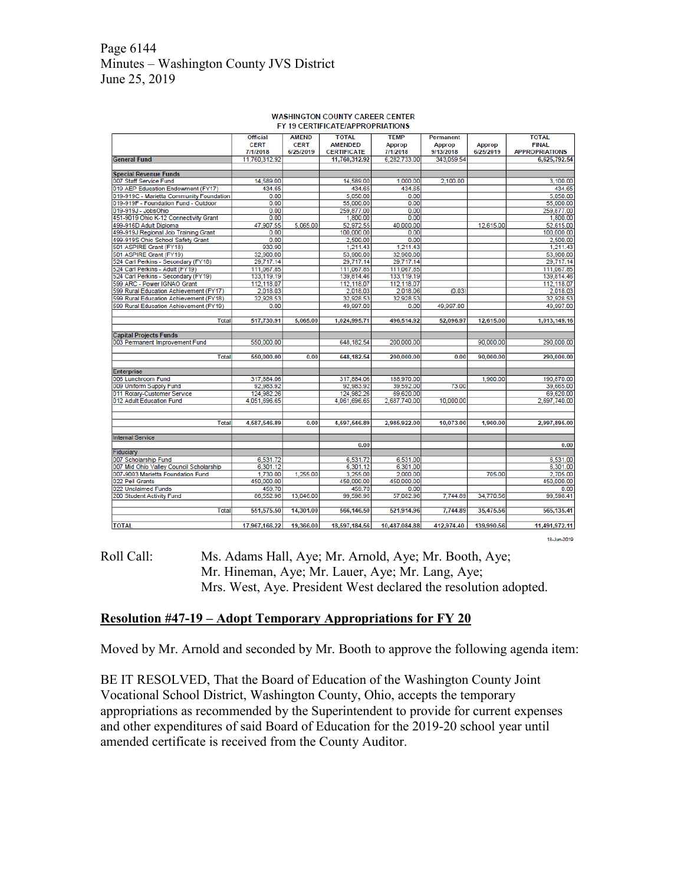# Page 6144 Minutes – Washington County JVS District June 25, 2019

|                                                         | <b>Official</b> | <b>AMEND</b> | <b>TOTAL</b>       | <b>TEMP</b>   | Permanent     |               | <b>TOTAL</b>          |
|---------------------------------------------------------|-----------------|--------------|--------------------|---------------|---------------|---------------|-----------------------|
|                                                         | <b>CERT</b>     | <b>CERT</b>  | <b>AMENDED</b>     | <b>Approp</b> | <b>Approp</b> | <b>Approp</b> | <b>FINAL</b>          |
|                                                         | 7/1/2018        | 6/25/2019    | <b>CERTIFICATE</b> | 7/1/2018      | 9/13/2018     | 6/25/2019     | <b>APPROPRIATIONS</b> |
| <b>General Fund</b>                                     | 11.760.312.92   |              | 11,760,312.92      | 6.282.733.00  | 343.059.54    |               | 6,625,792.54          |
|                                                         |                 |              |                    |               |               |               |                       |
| <b>Special Revenue Funds</b>                            |                 |              |                    |               |               |               |                       |
| 007 Staff Service Fund                                  | 14,589.00       |              | 14,589.00          | 1.000.00      | 2.100.00      |               | 3.100.00              |
| 019 AEP Education Endowment (FY17)                      | 434.65          |              | 434.65             | 434.65        |               |               | 434.65                |
| 019-919C - Marietta Community Foundation                | 0.00            |              | 5.050.00           | 0.00          |               |               | 5.050.00              |
| 019-919F - Foundation Fund - Outdoor                    | 0.00            |              | 55,000.00          | 0.00          |               |               | 55,000.00             |
| 019-919J - JobsOhio                                     | 0.00            |              | 259,877.00         | 0.00          |               |               | 259,877.00            |
| 451-9019 Ohio K-12 Connectivity Grant                   | 0.00            |              | 1,800.00           | 0.00          |               |               | 1,800.00              |
| 499-916D Adult Diploma                                  | 47,907.55       | 5,065.00     | 52.972.55          | 40,000.00     |               | 12,615.00     | 52.615.00             |
| 499-919J Regional Job Training Grant                    | 0.00            |              | 100,000.00         | 0.00          |               |               | 100,000.00            |
| 499-919S Ohio School Safety Grant                       | 0.00            |              | 2,500.00           | 0.00          |               |               | 2.500.00              |
| 501 ASPIRE Grant (FY18)                                 | 930.90          |              | 1,211.43           | 1,211.43      |               |               | 1.211.43              |
| 501 ASPIRE Grant (FY19)                                 | 32,900.00       |              | 53,900.00          | 32,900.00     |               |               | 53,900.00             |
| 524 Carl Perkins - Secondary (FY18)                     | 29,717.14       |              | 29,717.14          | 29,717.14     |               |               | 29,717.14             |
| 524 Carl Perkins - Adult (FY19)                         | 111,067.85      |              | 111,067.85         | 111,067.85    |               |               | 111,067.85            |
| 524 Carl Perkins - Secondary (FY19)                     | 133,119.19      |              | 139,814.46         | 133,119.19    |               |               | 139,814.46            |
| 599 ARC - Power IGNAO Grant                             | 112,118.07      |              | 112,118.07         | 112,118.07    |               |               | 112,118.07            |
| 599 Rural Education Achievement (FY17)                  | 2,018.03        |              | 2,018.03           | 2,018.06      | (0.03)        |               | 2,018.03              |
| 599 Rural Education Achievement (FY18)                  | 32.928.53       |              | 32.928.53          | 32.928.53     |               |               | 32.928.53             |
| 599 Rural Education Achievement (FY19)                  | 0.00            |              | 49.997.00          | 0.00          | 49,997.00     |               | 49,997.00             |
|                                                         |                 |              |                    |               |               |               |                       |
| <b>Total</b>                                            | 517,730.91      | 5,065,00     | 1,024,995.71       | 496,514.92    | 52.096.97     | 12,615.00     | 1,013,149.16          |
|                                                         |                 |              |                    |               |               |               |                       |
| <b>Capital Projects Funds</b>                           |                 |              |                    |               |               |               |                       |
| 003 Permanent Improvement Fund                          | 550,000.00      |              | 648.182.54         | 200.000.00    |               | 90,000.00     | 290,000.00            |
|                                                         |                 |              |                    |               |               |               |                       |
| Total                                                   | 550,000.00      | 0.00         | 648,182.54         | 200,000.00    | 0.00          | 90,000.00     | 290,000.00            |
|                                                         |                 |              |                    |               |               |               |                       |
| <b>Enterprise</b>                                       |                 |              |                    |               |               |               |                       |
| 006 Lunchroom Fund                                      | 317,884.06      |              | 317,884.06         | 188,970.00    | 73.00         | 1,900.00      | 190,870.00            |
| 009 Uniform Supply Fund                                 | 92,983.92       |              | 92,983.92          | 39,592.00     |               |               | 39,665.00             |
| 011 Rotary-Customer Service<br>012 Adult Education Fund | 124,982.26      |              | 124,982.26         | 69,620.00     |               |               | 69,620.00             |
|                                                         | 4,051,696.65    |              | 4,061,696.65       | 2,687,740.00  | 10,000.00     |               | 2,697,740.00          |
|                                                         |                 |              |                    |               |               |               |                       |
| Total                                                   | 4,587,546.89    | 0.00         | 4.597.546.89       | 2,985,922.00  | 10.073.00     | 1.900.00      | 2,997,895.00          |
|                                                         |                 |              |                    |               |               |               |                       |
| <b>Internal Service</b>                                 |                 |              |                    |               |               |               |                       |
|                                                         |                 |              | 0.00               |               |               |               | 0.00                  |
| Fiduciary                                               |                 |              |                    |               |               |               |                       |
| 007 Scholarship Fund                                    | 6,531.72        |              | 6.531.72           | 6.531.00      |               |               | 6,531.00              |
| 007 Mid Ohio Valley Council Scholarship                 | 6,301.12        |              | 6,301.12           | 6,301.00      |               |               | 6,301.00              |
| 007-9003 Marietta Foundation Fund                       | 1,730.00        | 1,255.00     | 3,255.00           | 2,000.00      |               | 705.00        | 2.705.00              |
| 022 Pell Grants                                         | 450,000.00      |              | 450,000.00         | 450,000.00    |               |               | 450,000.00            |
| 022 Unclaimed Funds                                     | 459.70          |              | 459.70             | 0.00          |               |               | 0.00                  |
| 200 Student Activity Fund                               | 86,552.96       | 13,046.00    | 99,598.96          | 57,082.96     | 7.744.89      | 34,770.56     | 99,598.41             |
|                                                         |                 |              |                    |               |               |               |                       |
| <b>Total</b>                                            | 551,575.50      | 14,301.00    | 566,146.50         | 521,914.96    | 7,744.89      | 35,475.56     | 565,135.41            |
|                                                         |                 |              |                    |               |               |               |                       |
| <b>TOTAL</b>                                            | 17,967,166.22   | 19,366.00    | 18,597,184.56      | 10,487,084.88 | 412,974.40    | 139,990.56    | 11,491,972.11         |
|                                                         |                 |              |                    |               |               |               |                       |

#### **WASHINGTON COUNTY CAREER CENTER** FY 19 CERTIFICATE/APPROPRIATIONS

18-Jun-2019

# Roll Call: Ms. Adams Hall, Aye; Mr. Arnold, Aye; Mr. Booth, Aye; Mr. Hineman, Aye; Mr. Lauer, Aye; Mr. Lang, Aye; Mrs. West, Aye. President West declared the resolution adopted.

## **Resolution #47-19 – Adopt Temporary Appropriations for FY 20**

Moved by Mr. Arnold and seconded by Mr. Booth to approve the following agenda item:

BE IT RESOLVED, That the Board of Education of the Washington County Joint Vocational School District, Washington County, Ohio, accepts the temporary appropriations as recommended by the Superintendent to provide for current expenses and other expenditures of said Board of Education for the 2019-20 school year until amended certificate is received from the County Auditor.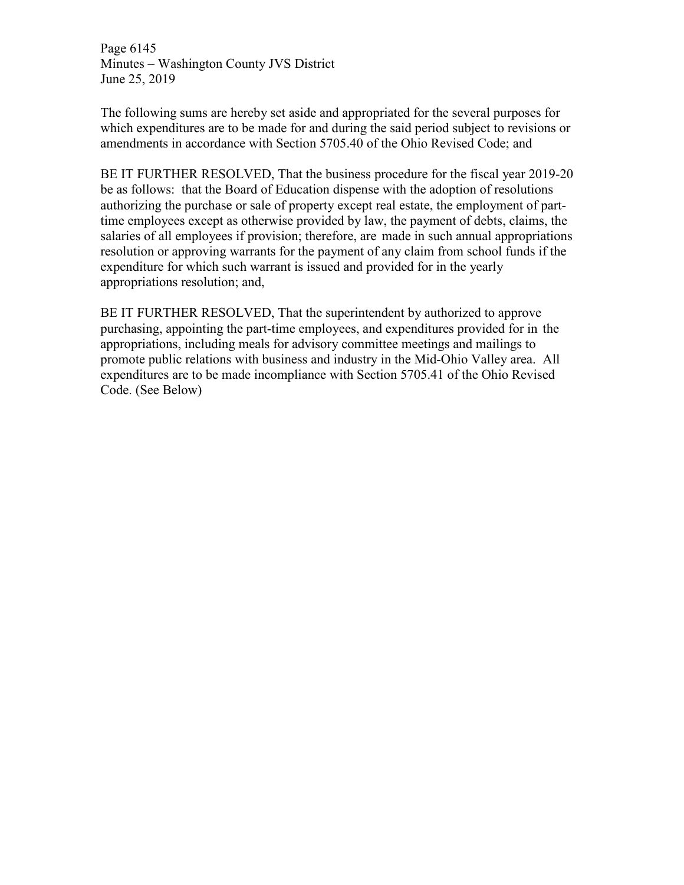Page 6145 Minutes – Washington County JVS District June 25, 2019

The following sums are hereby set aside and appropriated for the several purposes for which expenditures are to be made for and during the said period subject to revisions or amendments in accordance with Section 5705.40 of the Ohio Revised Code; and

BE IT FURTHER RESOLVED, That the business procedure for the fiscal year 2019-20 be as follows: that the Board of Education dispense with the adoption of resolutions authorizing the purchase or sale of property except real estate, the employment of parttime employees except as otherwise provided by law, the payment of debts, claims, the salaries of all employees if provision; therefore, are made in such annual appropriations resolution or approving warrants for the payment of any claim from school funds if the expenditure for which such warrant is issued and provided for in the yearly appropriations resolution; and,

BE IT FURTHER RESOLVED, That the superintendent by authorized to approve purchasing, appointing the part-time employees, and expenditures provided for in the appropriations, including meals for advisory committee meetings and mailings to promote public relations with business and industry in the Mid-Ohio Valley area. All expenditures are to be made incompliance with Section 5705.41 of the Ohio Revised Code. (See Below)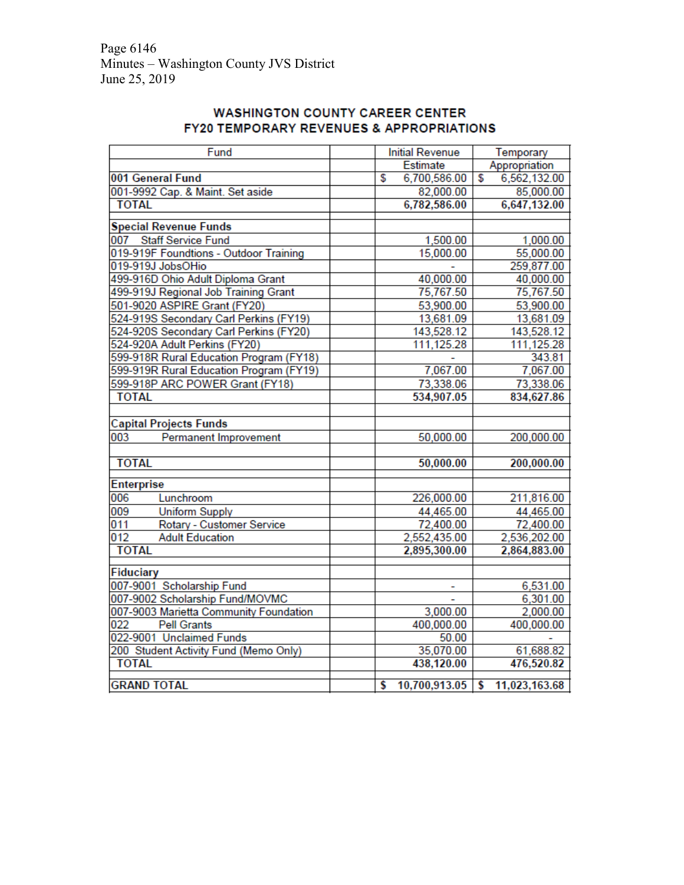# **WASHINGTON COUNTY CAREER CENTER** FY20 TEMPORARY REVENUES & APPROPRIATIONS

| Fund                                    | <b>Initial Revenue</b> | Temporary           |  |
|-----------------------------------------|------------------------|---------------------|--|
|                                         | <b>Estimate</b>        | Appropriation       |  |
| 001 General Fund                        | 6,700,586.00<br>\$     | 6,562,132.00<br>\$  |  |
| 001-9992 Cap. & Maint. Set aside        | 82,000.00              | 85,000.00           |  |
| <b>TOTAL</b>                            | 6,782,586.00           | 6,647,132.00        |  |
| <b>Special Revenue Funds</b>            |                        |                     |  |
| 007 Staff Service Fund                  | 1,500.00               | 1,000.00            |  |
| 019-919F Foundtions - Outdoor Training  | 15,000.00              | 55,000.00           |  |
| 019-919J JobsOHio                       |                        | 259,877.00          |  |
| 499-916D Ohio Adult Diploma Grant       | 40,000.00              | 40,000.00           |  |
| 499-919J Regional Job Training Grant    | 75,767.50              | 75,767.50           |  |
| 501-9020 ASPIRE Grant (FY20)            | 53,900.00              | 53,900.00           |  |
| 524-919S Secondary Carl Perkins (FY19)  | 13,681.09              | 13,681.09           |  |
| 524-920S Secondary Carl Perkins (FY20)  | 143,528.12             | 143,528.12          |  |
| 524-920A Adult Perkins (FY20)           | 111,125.28             | 111,125.28          |  |
| 599-918R Rural Education Program (FY18) |                        | 343.81              |  |
| 599-919R Rural Education Program (FY19) | 7,067.00               | 7,067.00            |  |
| 599-918P ARC POWER Grant (FY18)         | 73,338.06              | 73,338.06           |  |
| <b>TOTAL</b>                            | 534,907.05             | 834,627.86          |  |
|                                         |                        |                     |  |
| <b>Capital Projects Funds</b>           |                        |                     |  |
| 003<br>Permanent Improvement            | 50,000.00              | 200,000.00          |  |
|                                         |                        |                     |  |
| <b>TOTAL</b>                            | 50,000.00              | 200,000.00          |  |
| <b>Enterprise</b>                       |                        |                     |  |
| 006<br>Lunchroom                        | 226,000.00             | 211,816.00          |  |
| 009<br><b>Uniform Supply</b>            | 44,465.00              | 44,465.00           |  |
| 011<br>Rotary - Customer Service        | 72,400.00              | 72,400.00           |  |
| 012<br><b>Adult Education</b>           | 2,552,435.00           | 2,536,202.00        |  |
| <b>TOTAL</b>                            | 2,895,300.00           | 2,864,883.00        |  |
|                                         |                        |                     |  |
| Fiduciary                               |                        |                     |  |
| 007-9001 Scholarship Fund               |                        | 6,531.00            |  |
| 007-9002 Scholarship Fund/MOVMC         |                        | 6,301.00            |  |
| 007-9003 Marietta Community Foundation  | 3,000.00               | 2,000.00            |  |
| 022<br><b>Pell Grants</b>               | 400,000.00             | 400,000.00          |  |
| 022-9001 Unclaimed Funds                | 50.00                  |                     |  |
| 200 Student Activity Fund (Memo Only)   | 35,070.00              | 61,688.82           |  |
| <b>TOTAL</b>                            | 438,120.00             | 476,520.82          |  |
| <b>GRAND TOTAL</b>                      | 10,700,913.05<br>S     | \$<br>11,023,163.68 |  |
|                                         |                        |                     |  |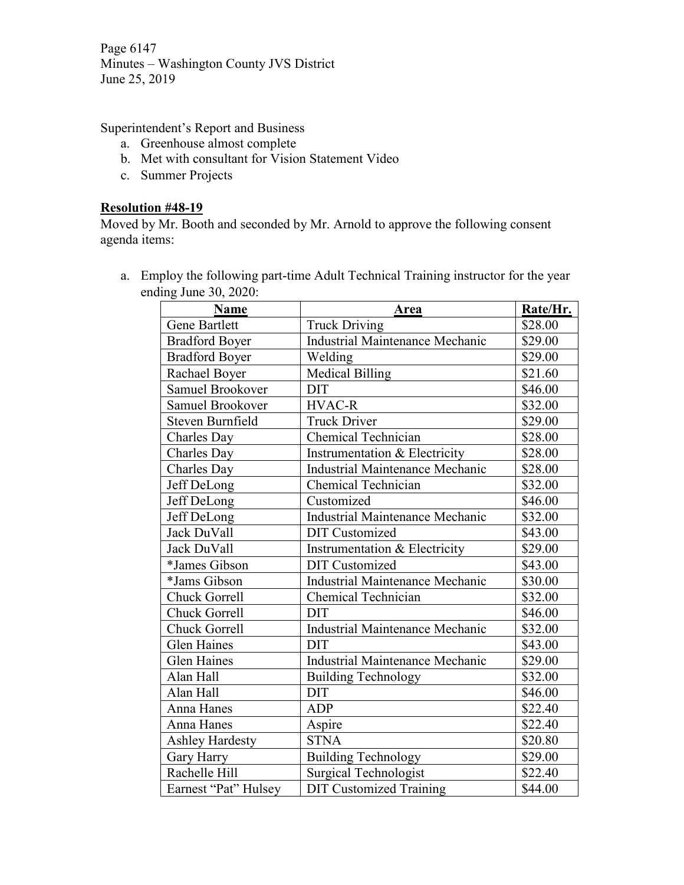Page 6147 Minutes – Washington County JVS District June 25, 2019

Superintendent's Report and Business

- a. Greenhouse almost complete
- b. Met with consultant for Vision Statement Video
- c. Summer Projects

# **Resolution #48-19**

Moved by Mr. Booth and seconded by Mr. Arnold to approve the following consent agenda items:

a. Employ the following part-time Adult Technical Training instructor for the year ending June 30, 2020:

| <b>Name</b>            | Area                                   | Rate/Hr. |
|------------------------|----------------------------------------|----------|
| Gene Bartlett          | <b>Truck Driving</b>                   | \$28.00  |
| <b>Bradford Boyer</b>  | <b>Industrial Maintenance Mechanic</b> | \$29.00  |
| <b>Bradford Boyer</b>  | Welding                                | \$29.00  |
| Rachael Boyer          | <b>Medical Billing</b>                 | \$21.60  |
| Samuel Brookover       | <b>DIT</b>                             | \$46.00  |
| Samuel Brookover       | <b>HVAC-R</b>                          | \$32.00  |
| Steven Burnfield       | <b>Truck Driver</b>                    | \$29.00  |
| Charles Day            | Chemical Technician                    | \$28.00  |
| Charles Day            | Instrumentation & Electricity          | \$28.00  |
| Charles Day            | <b>Industrial Maintenance Mechanic</b> | \$28.00  |
| Jeff DeLong            | <b>Chemical Technician</b>             | \$32.00  |
| Jeff DeLong            | Customized                             | \$46.00  |
| Jeff DeLong            | <b>Industrial Maintenance Mechanic</b> | \$32.00  |
| Jack DuVall            | <b>DIT</b> Customized                  | \$43.00  |
| Jack DuVall            | Instrumentation & Electricity          | \$29.00  |
| *James Gibson          | <b>DIT</b> Customized                  | \$43.00  |
| *Jams Gibson           | <b>Industrial Maintenance Mechanic</b> | \$30.00  |
| <b>Chuck Gorrell</b>   | Chemical Technician                    | \$32.00  |
| <b>Chuck Gorrell</b>   | <b>DIT</b>                             | \$46.00  |
| Chuck Gorrell          | Industrial Maintenance Mechanic        | \$32.00  |
| <b>Glen Haines</b>     | <b>DIT</b>                             | \$43.00  |
| <b>Glen Haines</b>     | <b>Industrial Maintenance Mechanic</b> | \$29.00  |
| Alan Hall              | <b>Building Technology</b>             | \$32.00  |
| Alan Hall              | <b>DIT</b>                             | \$46.00  |
| Anna Hanes             | <b>ADP</b>                             | \$22.40  |
| Anna Hanes             | Aspire                                 | \$22.40  |
| <b>Ashley Hardesty</b> | <b>STNA</b>                            | \$20.80  |
| Gary Harry             | <b>Building Technology</b>             | \$29.00  |
| Rachelle Hill          | <b>Surgical Technologist</b>           | \$22.40  |
| Earnest "Pat" Hulsey   | <b>DIT Customized Training</b>         | \$44.00  |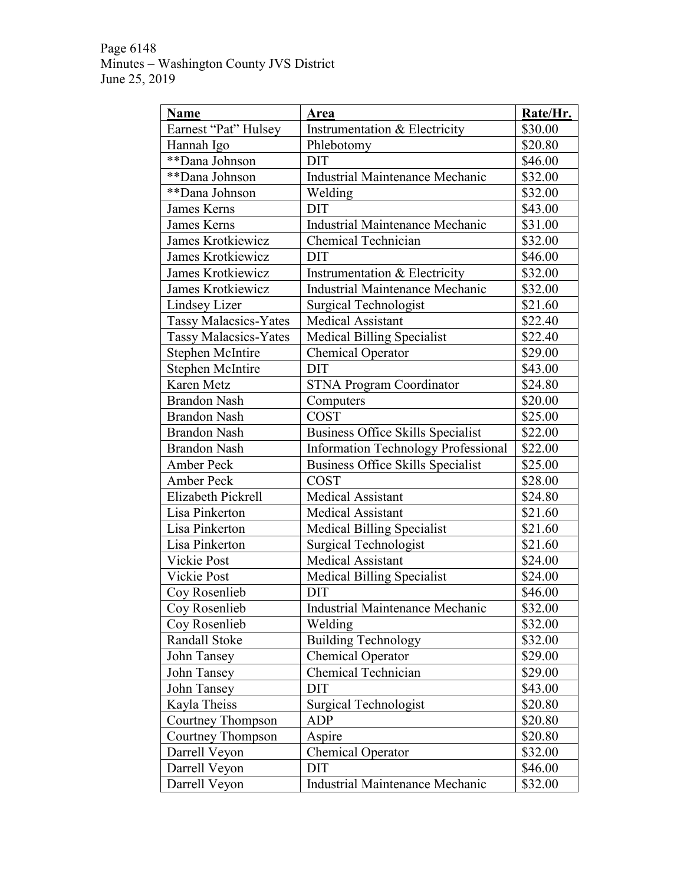# Page 6148 Minutes – Washington County JVS District June 25, 2019

| <b>Name</b>                  | <b>Area</b>                              | Rate/Hr. |
|------------------------------|------------------------------------------|----------|
| Earnest "Pat" Hulsey         | Instrumentation & Electricity            | \$30.00  |
| Hannah Igo                   | Phlebotomy                               | \$20.80  |
| **Dana Johnson               | <b>DIT</b>                               | \$46.00  |
| **Dana Johnson               | <b>Industrial Maintenance Mechanic</b>   | \$32.00  |
| **Dana Johnson               | Welding                                  | \$32.00  |
| James Kerns                  | <b>DIT</b>                               | \$43.00  |
| <b>James Kerns</b>           | <b>Industrial Maintenance Mechanic</b>   | \$31.00  |
| James Krotkiewicz            | <b>Chemical Technician</b>               | \$32.00  |
| James Krotkiewicz            | <b>DIT</b>                               | \$46.00  |
| <b>James Krotkiewicz</b>     | Instrumentation & Electricity            | \$32.00  |
| <b>James Krotkiewicz</b>     | Industrial Maintenance Mechanic          | \$32.00  |
| Lindsey Lizer                | <b>Surgical Technologist</b>             | \$21.60  |
| <b>Tassy Malacsics-Yates</b> | <b>Medical Assistant</b>                 | \$22.40  |
| <b>Tassy Malacsics-Yates</b> | <b>Medical Billing Specialist</b>        | \$22.40  |
| Stephen McIntire             | <b>Chemical Operator</b>                 | \$29.00  |
| <b>Stephen McIntire</b>      | <b>DIT</b>                               | \$43.00  |
| Karen Metz                   | <b>STNA Program Coordinator</b>          | \$24.80  |
| <b>Brandon Nash</b>          | Computers                                | \$20.00  |
| <b>Brandon Nash</b>          | <b>COST</b>                              | \$25.00  |
| <b>Brandon Nash</b>          | <b>Business Office Skills Specialist</b> | \$22.00  |
| <b>Brandon Nash</b>          | Information Technology Professional      | \$22.00  |
| <b>Amber Peck</b>            | <b>Business Office Skills Specialist</b> | \$25.00  |
| Amber Peck                   | <b>COST</b>                              | \$28.00  |
| Elizabeth Pickrell           | <b>Medical Assistant</b>                 | \$24.80  |
| Lisa Pinkerton               | <b>Medical Assistant</b>                 | \$21.60  |
| Lisa Pinkerton               | <b>Medical Billing Specialist</b>        | \$21.60  |
| Lisa Pinkerton               | <b>Surgical Technologist</b>             | \$21.60  |
| Vickie Post                  | <b>Medical Assistant</b>                 | \$24.00  |
| Vickie Post                  | <b>Medical Billing Specialist</b>        | \$24.00  |
| Coy Rosenlieb                | <b>DIT</b>                               | \$46.00  |
| Coy Rosenlieb                | <b>Industrial Maintenance Mechanic</b>   | \$32.00  |
| Coy Rosenlieb                | Welding                                  | \$32.00  |
| Randall Stoke                | <b>Building Technology</b>               | \$32.00  |
| John Tansey                  | Chemical Operator                        | \$29.00  |
| John Tansey                  | <b>Chemical Technician</b>               | \$29.00  |
| John Tansey                  | <b>DIT</b>                               | \$43.00  |
| Kayla Theiss                 | <b>Surgical Technologist</b>             | \$20.80  |
| Courtney Thompson            | <b>ADP</b>                               | \$20.80  |
| Courtney Thompson            | Aspire                                   | \$20.80  |
| Darrell Veyon                | <b>Chemical Operator</b>                 | \$32.00  |
| Darrell Veyon                | <b>DIT</b>                               | \$46.00  |
| Darrell Veyon                | <b>Industrial Maintenance Mechanic</b>   | \$32.00  |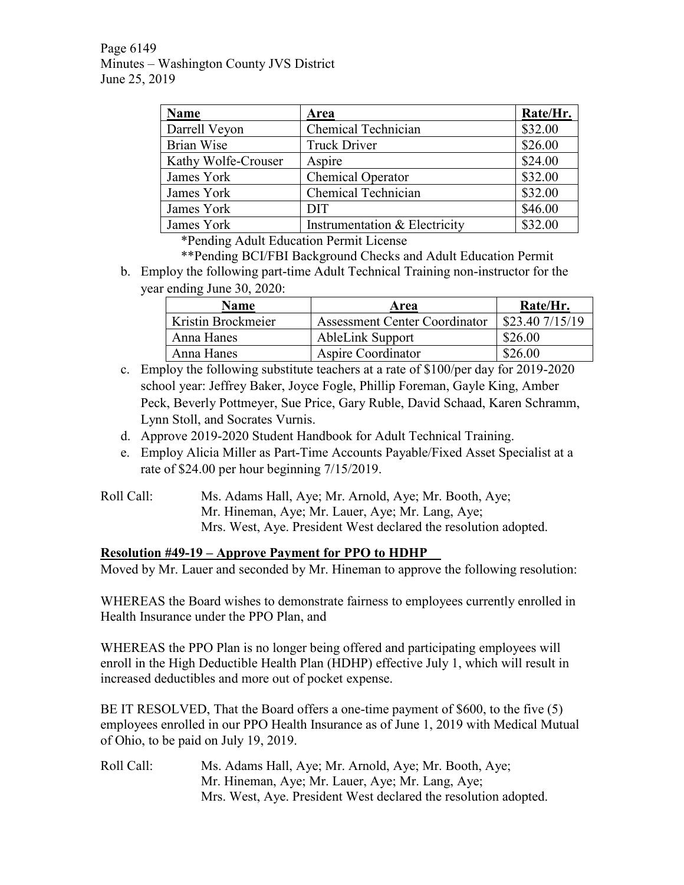Page 6149 Minutes – Washington County JVS District June 25, 2019

| <b>Name</b>         | Area                          | Rate/Hr. |
|---------------------|-------------------------------|----------|
| Darrell Veyon       | Chemical Technician           | \$32.00  |
| Brian Wise          | <b>Truck Driver</b>           | \$26.00  |
| Kathy Wolfe-Crouser | Aspire                        | \$24.00  |
| James York          | Chemical Operator             | \$32.00  |
| James York          | Chemical Technician           | \$32.00  |
| James York          | <b>DIT</b>                    | \$46.00  |
| James York          | Instrumentation & Electricity | \$32.00  |

\*Pending Adult Education Permit License

\*\*Pending BCI/FBI Background Checks and Adult Education Permit b. Employ the following part-time Adult Technical Training non-instructor for the year ending June 30, 2020:

| <b>Name</b>        | Area                                 | Rate/Hr.           |  |
|--------------------|--------------------------------------|--------------------|--|
| Kristin Brockmeier | <b>Assessment Center Coordinator</b> | $$23.40$ $7/15/19$ |  |
| Anna Hanes         | <b>AbleLink Support</b>              | \$26.00            |  |
| Anna Hanes         | Aspire Coordinator                   | \$26.00            |  |

- c. Employ the following substitute teachers at a rate of \$100/per day for 2019-2020 school year: Jeffrey Baker, Joyce Fogle, Phillip Foreman, Gayle King, Amber Peck, Beverly Pottmeyer, Sue Price, Gary Ruble, David Schaad, Karen Schramm, Lynn Stoll, and Socrates Vurnis.
- d. Approve 2019-2020 Student Handbook for Adult Technical Training.
- e. Employ Alicia Miller as Part-Time Accounts Payable/Fixed Asset Specialist at a rate of \$24.00 per hour beginning 7/15/2019.
- Roll Call: Ms. Adams Hall, Aye; Mr. Arnold, Aye; Mr. Booth, Aye; Mr. Hineman, Aye; Mr. Lauer, Aye; Mr. Lang, Aye; Mrs. West, Aye. President West declared the resolution adopted.

# **Resolution #49-19 – Approve Payment for PPO to HDHP**

Moved by Mr. Lauer and seconded by Mr. Hineman to approve the following resolution:

WHEREAS the Board wishes to demonstrate fairness to employees currently enrolled in Health Insurance under the PPO Plan, and

WHEREAS the PPO Plan is no longer being offered and participating employees will enroll in the High Deductible Health Plan (HDHP) effective July 1, which will result in increased deductibles and more out of pocket expense.

BE IT RESOLVED, That the Board offers a one-time payment of \$600, to the five (5) employees enrolled in our PPO Health Insurance as of June 1, 2019 with Medical Mutual of Ohio, to be paid on July 19, 2019.

Roll Call: Ms. Adams Hall, Aye; Mr. Arnold, Aye; Mr. Booth, Aye; Mr. Hineman, Aye; Mr. Lauer, Aye; Mr. Lang, Aye; Mrs. West, Aye. President West declared the resolution adopted.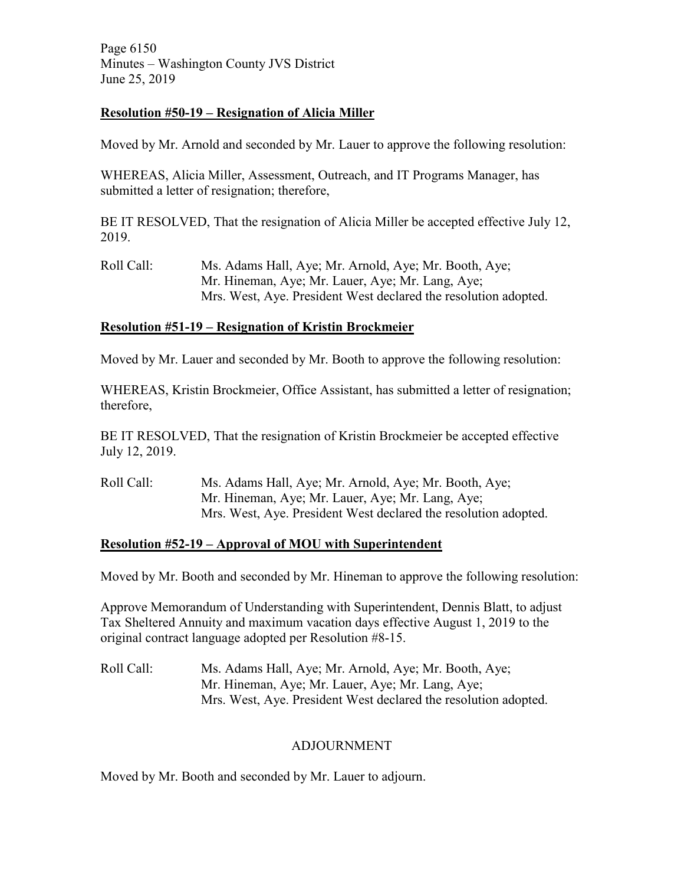Page 6150 Minutes – Washington County JVS District June 25, 2019

## **Resolution #50-19 – Resignation of Alicia Miller**

Moved by Mr. Arnold and seconded by Mr. Lauer to approve the following resolution:

WHEREAS, Alicia Miller, Assessment, Outreach, and IT Programs Manager, has submitted a letter of resignation; therefore,

BE IT RESOLVED, That the resignation of Alicia Miller be accepted effective July 12, 2019.

Roll Call: Ms. Adams Hall, Aye; Mr. Arnold, Aye; Mr. Booth, Aye; Mr. Hineman, Aye; Mr. Lauer, Aye; Mr. Lang, Aye; Mrs. West, Aye. President West declared the resolution adopted.

# **Resolution #51-19 – Resignation of Kristin Brockmeier**

Moved by Mr. Lauer and seconded by Mr. Booth to approve the following resolution:

WHEREAS, Kristin Brockmeier, Office Assistant, has submitted a letter of resignation; therefore,

BE IT RESOLVED, That the resignation of Kristin Brockmeier be accepted effective July 12, 2019.

Roll Call: Ms. Adams Hall, Aye; Mr. Arnold, Aye; Mr. Booth, Aye; Mr. Hineman, Aye; Mr. Lauer, Aye; Mr. Lang, Aye; Mrs. West, Aye. President West declared the resolution adopted.

## **Resolution #52-19 – Approval of MOU with Superintendent**

Moved by Mr. Booth and seconded by Mr. Hineman to approve the following resolution:

Approve Memorandum of Understanding with Superintendent, Dennis Blatt, to adjust Tax Sheltered Annuity and maximum vacation days effective August 1, 2019 to the original contract language adopted per Resolution #8-15.

Roll Call: Ms. Adams Hall, Aye; Mr. Arnold, Aye; Mr. Booth, Aye; Mr. Hineman, Aye; Mr. Lauer, Aye; Mr. Lang, Aye; Mrs. West, Aye. President West declared the resolution adopted.

# ADJOURNMENT

Moved by Mr. Booth and seconded by Mr. Lauer to adjourn.